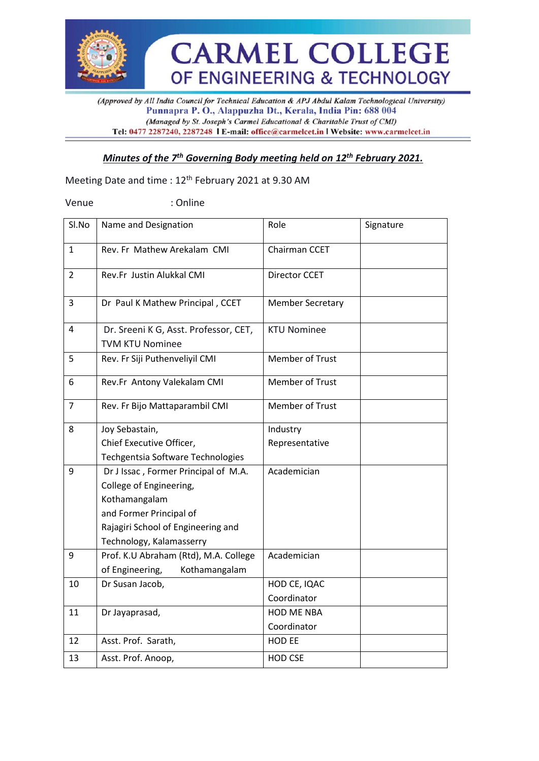

(Approved by All India Council for Technical Education & APJ Abdul Kalam Technological University) Punnapra P. O., Alappuzha Dt., Kerala, India Pin: 688 004 (Managed by St. Joseph's Carmel Educational & Charitable Trust of CMI) Tel: 0477 2287240, 2287248 | E-mail: office@carmelcet.in | Website: www.carmelcet.in

#### *Minutes of the 7 th Governing Body meeting held on 12th February 2021.*

Meeting Date and time : 12th February 2021 at 9.30 AM

Venue : Online

| Sl.No          | Name and Designation                                            | Role                    | Signature |
|----------------|-----------------------------------------------------------------|-------------------------|-----------|
| $\mathbf{1}$   | Rev. Fr Mathew Arekalam CMI                                     | Chairman CCET           |           |
| $\overline{2}$ | Rev.Fr Justin Alukkal CMI                                       | Director CCET           |           |
| 3              | Dr Paul K Mathew Principal, CCET                                | <b>Member Secretary</b> |           |
| 4              | Dr. Sreeni K G, Asst. Professor, CET,<br><b>TVM KTU Nominee</b> | <b>KTU Nominee</b>      |           |
| 5              | Rev. Fr Siji Puthenveliyil CMI                                  | Member of Trust         |           |
| 6              | Rev.Fr Antony Valekalam CMI                                     | Member of Trust         |           |
| $\overline{7}$ | Rev. Fr Bijo Mattaparambil CMI                                  | Member of Trust         |           |
| 8              | Joy Sebastain,                                                  | Industry                |           |
|                | Chief Executive Officer,                                        | Representative          |           |
|                | Techgentsia Software Technologies                               |                         |           |
| 9              | Dr J Issac, Former Principal of M.A.                            | Academician             |           |
|                | College of Engineering,                                         |                         |           |
|                | Kothamangalam                                                   |                         |           |
|                | and Former Principal of                                         |                         |           |
|                | Rajagiri School of Engineering and                              |                         |           |
|                | Technology, Kalamasserry                                        |                         |           |
| 9              | Prof. K.U Abraham (Rtd), M.A. College                           | Academician             |           |
|                | of Engineering,<br>Kothamangalam                                |                         |           |
| 10             | Dr Susan Jacob,                                                 | HOD CE, IQAC            |           |
|                |                                                                 | Coordinator             |           |
| 11             | Dr Jayaprasad,                                                  | <b>HOD ME NBA</b>       |           |
|                |                                                                 | Coordinator             |           |
| 12             | Asst. Prof. Sarath,                                             | HOD EE                  |           |
| 13             | Asst. Prof. Anoop,                                              | HOD CSE                 |           |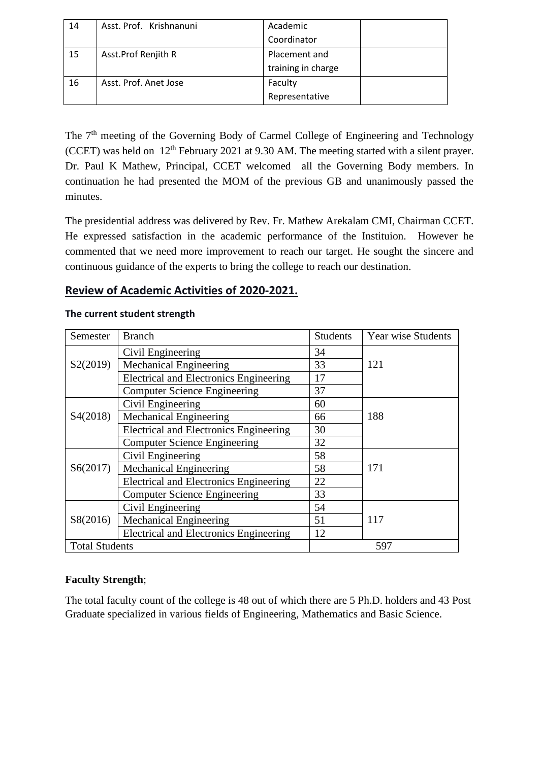| 14 | Asst. Prof. Krishnanuni | Academic           |  |
|----|-------------------------|--------------------|--|
|    |                         | Coordinator        |  |
| 15 | Asst.Prof Renjith R     | Placement and      |  |
|    |                         | training in charge |  |
| 16 | Asst. Prof. Anet Jose   | Faculty            |  |
|    |                         | Representative     |  |

The 7<sup>th</sup> meeting of the Governing Body of Carmel College of Engineering and Technology (CCET) was held on  $12<sup>th</sup>$  February 2021 at 9.30 AM. The meeting started with a silent prayer. Dr. Paul K Mathew, Principal, CCET welcomed all the Governing Body members. In continuation he had presented the MOM of the previous GB and unanimously passed the minutes.

The presidential address was delivered by Rev. Fr. Mathew Arekalam CMI, Chairman CCET. He expressed satisfaction in the academic performance of the Instituion. However he commented that we need more improvement to reach our target. He sought the sincere and continuous guidance of the experts to bring the college to reach our destination.

## **Review of Academic Activities of 2020-2021.**

| Semester              | <b>Branch</b>                                 | <b>Students</b> | <b>Year wise Students</b> |  |
|-----------------------|-----------------------------------------------|-----------------|---------------------------|--|
|                       | Civil Engineering                             | 34              |                           |  |
| S2(2019)              | <b>Mechanical Engineering</b>                 | 33              | 121                       |  |
|                       | <b>Electrical and Electronics Engineering</b> | 17              |                           |  |
|                       | <b>Computer Science Engineering</b>           | 37              |                           |  |
|                       | Civil Engineering                             | 60              |                           |  |
| S4(2018)              | <b>Mechanical Engineering</b>                 | 66              | 188                       |  |
|                       | <b>Electrical and Electronics Engineering</b> | 30              |                           |  |
|                       | <b>Computer Science Engineering</b>           | 32              |                           |  |
|                       | Civil Engineering                             | 58              |                           |  |
| S6(2017)              | <b>Mechanical Engineering</b>                 | 58              | 171                       |  |
|                       | <b>Electrical and Electronics Engineering</b> | 22              |                           |  |
|                       | <b>Computer Science Engineering</b>           | 33              |                           |  |
|                       | Civil Engineering                             | 54              |                           |  |
| S8(2016)              | <b>Mechanical Engineering</b>                 | 51              | 117                       |  |
|                       | <b>Electrical and Electronics Engineering</b> | 12              |                           |  |
| <b>Total Students</b> |                                               |                 | 597                       |  |

#### **The current student strength**

## **Faculty Strength**;

The total faculty count of the college is 48 out of which there are 5 Ph.D. holders and 43 Post Graduate specialized in various fields of Engineering, Mathematics and Basic Science.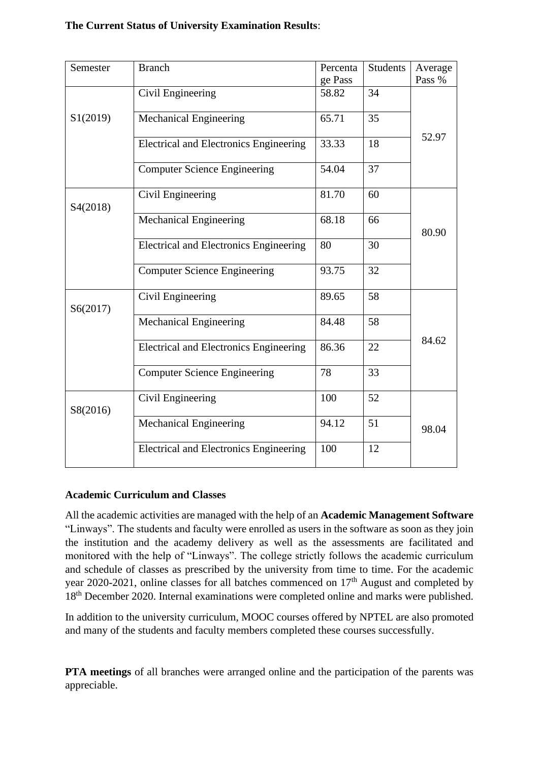#### **The Current Status of University Examination Results**:

| <b>Branch</b>                                 | Percenta          | <b>Students</b>  | Average |
|-----------------------------------------------|-------------------|------------------|---------|
|                                               |                   |                  | Pass %  |
|                                               |                   |                  | 52.97   |
| Mechanical Engineering                        | 65.71             | 35               |         |
| <b>Electrical and Electronics Engineering</b> | 33.33             | 18               |         |
| <b>Computer Science Engineering</b>           | 54.04             | 37               |         |
| Civil Engineering                             | 81.70             | 60               | 80.90   |
| <b>Mechanical Engineering</b>                 | 68.18             | 66               |         |
| <b>Electrical and Electronics Engineering</b> | 80                | 30               |         |
| <b>Computer Science Engineering</b>           | 93.75             | 32               |         |
| Civil Engineering                             | 89.65             | 58               |         |
| Mechanical Engineering                        | 84.48             | 58               |         |
| <b>Electrical and Electronics Engineering</b> | 86.36             | 22               | 84.62   |
| <b>Computer Science Engineering</b>           | 78                | 33               |         |
| Civil Engineering                             | 100               | 52               |         |
| <b>Mechanical Engineering</b>                 | 94.12             | 51               | 98.04   |
| <b>Electrical and Electronics Engineering</b> | 100               | 12               |         |
|                                               | Civil Engineering | ge Pass<br>58.82 | 34      |

#### **Academic Curriculum and Classes**

All the academic activities are managed with the help of an **Academic Management Software** "Linways". The students and faculty were enrolled as users in the software as soon as they join the institution and the academy delivery as well as the assessments are facilitated and monitored with the help of "Linways". The college strictly follows the academic curriculum and schedule of classes as prescribed by the university from time to time. For the academic year 2020-2021, online classes for all batches commenced on  $17<sup>th</sup>$  August and completed by 18<sup>th</sup> December 2020. Internal examinations were completed online and marks were published.

In addition to the university curriculum, MOOC courses offered by NPTEL are also promoted and many of the students and faculty members completed these courses successfully.

**PTA meetings** of all branches were arranged online and the participation of the parents was appreciable.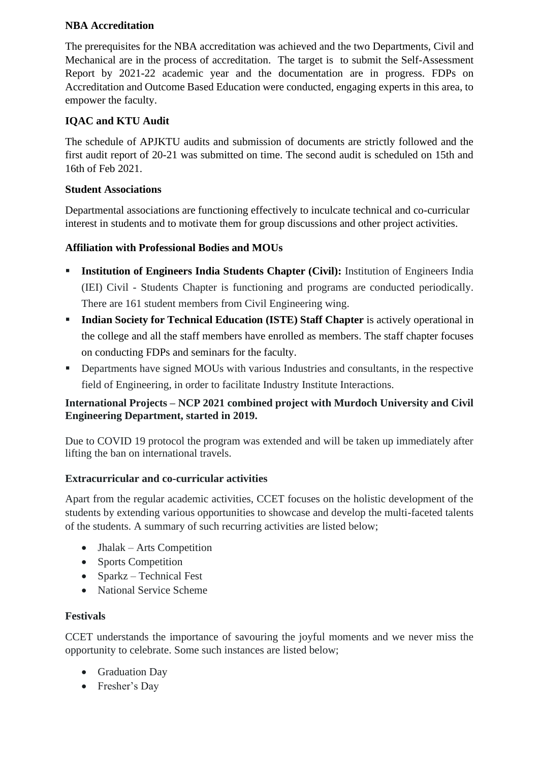#### **NBA Accreditation**

The prerequisites for the NBA accreditation was achieved and the two Departments, Civil and Mechanical are in the process of accreditation. The target is to submit the Self-Assessment Report by 2021-22 academic year and the documentation are in progress. FDPs on Accreditation and Outcome Based Education were conducted, engaging experts in this area, to empower the faculty.

## **IQAC and KTU Audit**

The schedule of APJKTU audits and submission of documents are strictly followed and the first audit report of 20-21 was submitted on time. The second audit is scheduled on 15th and 16th of Feb 2021.

## **Student Associations**

Departmental associations are functioning effectively to inculcate technical and co-curricular interest in students and to motivate them for group discussions and other project activities.

## **Affiliation with Professional Bodies and MOUs**

- **EXECUTE:** Institution of Engineers India Students Chapter (Civil): Institution of Engineers India (IEI) Civil - Students Chapter is functioning and programs are conducted periodically. There are 161 student members from Civil Engineering wing.
- **Indian Society for Technical Education (ISTE) Staff Chapter** is actively operational in the college and all the staff members have enrolled as members. The staff chapter focuses on conducting FDPs and seminars for the faculty.
- **•** Departments have signed MOUs with various Industries and consultants, in the respective field of Engineering, in order to facilitate Industry Institute Interactions.

## **International Projects – NCP 2021 combined project with Murdoch University and Civil Engineering Department, started in 2019.**

Due to COVID 19 protocol the program was extended and will be taken up immediately after lifting the ban on international travels.

#### **Extracurricular and co-curricular activities**

Apart from the regular academic activities, CCET focuses on the holistic development of the students by extending various opportunities to showcase and develop the multi-faceted talents of the students. A summary of such recurring activities are listed below;

- Jhalak Arts Competition
- Sports Competition
- Sparkz Technical Fest
- National Service Scheme

#### **Festivals**

CCET understands the importance of savouring the joyful moments and we never miss the opportunity to celebrate. Some such instances are listed below;

- Graduation Day
- Fresher's Day